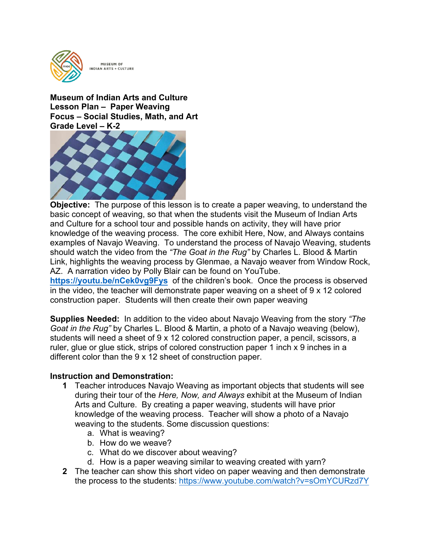

 **Lesson Plan – Paper Weaving Grade Level – K-2 Museum of Indian Arts and Culture Focus – Social Studies, Math, and Art** 



 **<https://youtu.be/nCek0vg9Fys>** of the children's book. Once the process is observed **Objective:** The purpose of this lesson is to create a paper weaving, to understand the basic concept of weaving, so that when the students visit the Museum of Indian Arts and Culture for a school tour and possible hands on activity, they will have prior knowledge of the weaving process. The core exhibit Here, Now, and Always contains examples of Navajo Weaving. To understand the process of Navajo Weaving, students should watch the video from the *"The Goat in the Rug"* by Charles L. Blood & Martin Link, highlights the weaving process by Glenmae, a Navajo weaver from Window Rock, AZ. A narration video by Polly Blair can be found on YouTube. in the video, the teacher will demonstrate paper weaving on a sheet of 9 x 12 colored

construction paper. Students will then create their own paper weaving

**Supplies Needed:** In addition to the video about Navajo Weaving from the story *"The Goat in the Rug"* by Charles L. Blood & Martin, a photo of a Navajo weaving (below), students will need a sheet of 9 x 12 colored construction paper, a pencil, scissors, a ruler, glue or glue stick, strips of colored construction paper 1 inch x 9 inches in a different color than the 9 x 12 sheet of construction paper.

### **Instruction and Demonstration:**

- knowledge of the weaving process. Teacher will show a photo of a Navajo **1** Teacher introduces Navajo Weaving as important objects that students will see during their tour of the *Here, Now, and Always* exhibit at the Museum of Indian Arts and Culture. By creating a paper weaving, students will have prior weaving to the students. Some discussion questions:
	- a. What is weaving?
	- b. How do we weave?
	- c. What do we discover about weaving?
	- d. How is a paper weaving similar to weaving created with yarn?
- **2** The teacher can show this short video on paper weaving and then demonstrate the process to the students:<https://www.youtube.com/watch?v=sOmYCURzd7Y>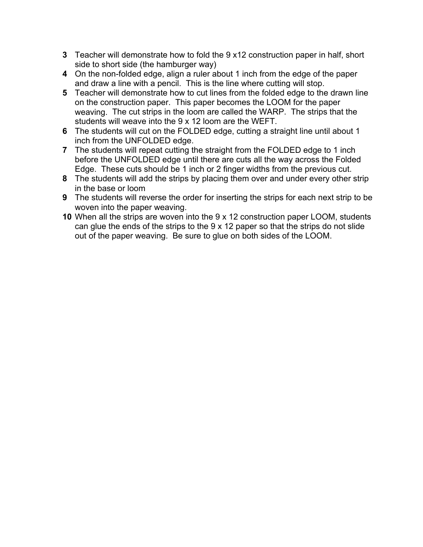- **3** Teacher will demonstrate how to fold the 9 x12 construction paper in half, short side to short side (the hamburger way)
- **4** On the non-folded edge, align a ruler about 1 inch from the edge of the paper and draw a line with a pencil. This is the line where cutting will stop.
- weaving. The cut strips in the loom are called the WARP. The strips that the **5** Teacher will demonstrate how to cut lines from the folded edge to the drawn line on the construction paper. This paper becomes the LOOM for the paper students will weave into the 9 x 12 loom are the WEFT.
- **6** The students will cut on the FOLDED edge, cutting a straight line until about 1 inch from the UNFOLDED edge.
- **7** The students will repeat cutting the straight from the FOLDED edge to 1 inch before the UNFOLDED edge until there are cuts all the way across the Folded Edge. These cuts should be 1 inch or 2 finger widths from the previous cut.
- **8** The students will add the strips by placing them over and under every other strip in the base or loom
- **9** The students will reverse the order for inserting the strips for each next strip to be woven into the paper weaving.
- **10** When all the strips are woven into the 9 x 12 construction paper LOOM, students can glue the ends of the strips to the 9 x 12 paper so that the strips do not slide out of the paper weaving. Be sure to glue on both sides of the LOOM.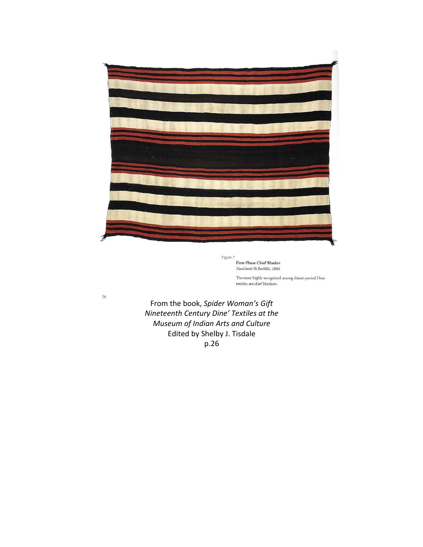

First-Phase Chief Blanket Naat'áanii Bi Beeldléí, 1860

The most highly recognized among classic-period  ${\rm Din\'e}$  textiles are chief blankets.

 *Nineteenth Century Dine' Textiles at the* From the book, Spider Woman's Gift *Museum of Indian Arts and Culture* Edited by Shelby J. Tisdale p.26

 $26$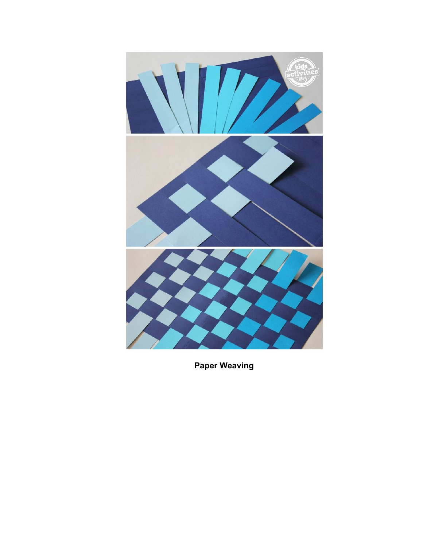

**Paper Weaving**